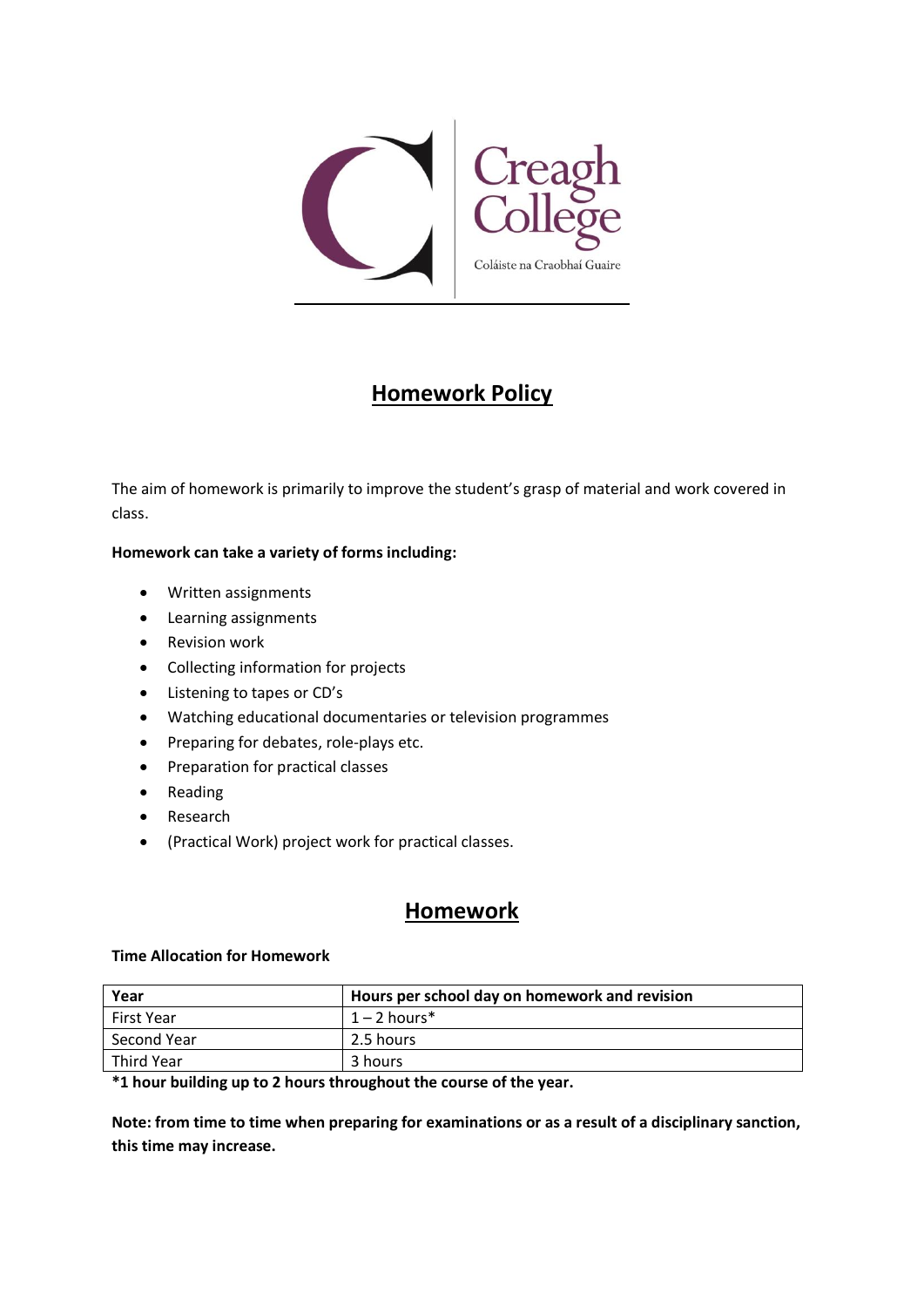

# **Homework Policy**

The aim of homework is primarily to improve the student's grasp of material and work covered in class.

#### **Homework can take a variety of forms including:**

- Written assignments
- Learning assignments
- Revision work
- Collecting information for projects
- Listening to tapes or CD's
- Watching educational documentaries or television programmes
- Preparing for debates, role-plays etc.
- Preparation for practical classes
- Reading
- Research
- (Practical Work) project work for practical classes.

### **Homework**

#### **Time Allocation for Homework**

| Year        | Hours per school day on homework and revision |
|-------------|-----------------------------------------------|
| First Year  | $1 - 2$ hours*                                |
| Second Year | 2.5 hours                                     |
| Third Year  | 3 hours                                       |

**\*1 hour building up to 2 hours throughout the course of the year.**

**Note: from time to time when preparing for examinations or as a result of a disciplinary sanction, this time may increase.**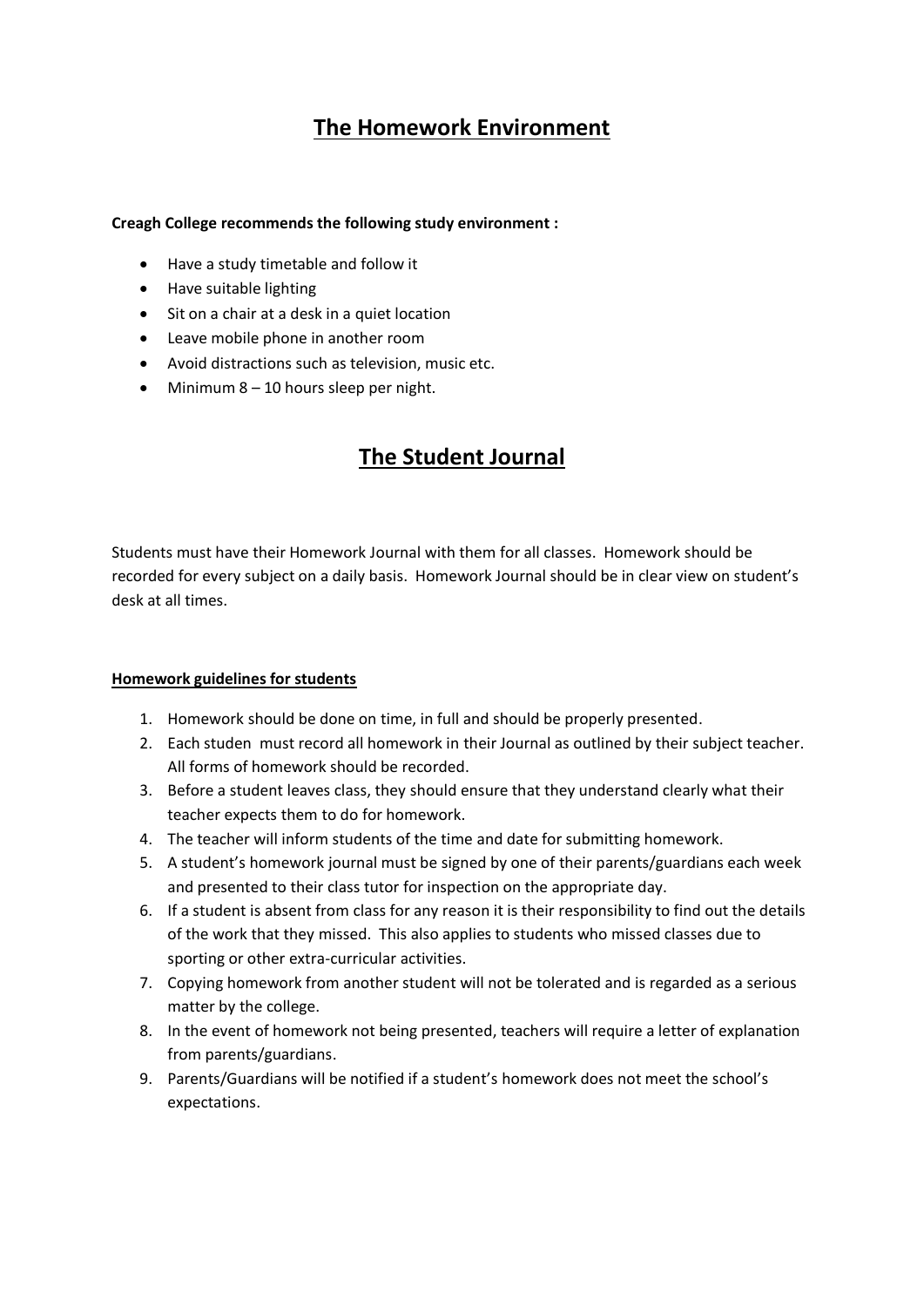# **The Homework Environment**

#### **Creagh College recommends the following study environment :**

- Have a study timetable and follow it
- Have suitable lighting
- Sit on a chair at a desk in a quiet location
- Leave mobile phone in another room
- Avoid distractions such as television, music etc.
- $\bullet$  Minimum 8 10 hours sleep per night.

# **The Student Journal**

Students must have their Homework Journal with them for all classes. Homework should be recorded for every subject on a daily basis. Homework Journal should be in clear view on student's desk at all times.

#### **Homework guidelines for students**

- 1. Homework should be done on time, in full and should be properly presented.
- 2. Each studen must record all homework in their Journal as outlined by their subject teacher. All forms of homework should be recorded.
- 3. Before a student leaves class, they should ensure that they understand clearly what their teacher expects them to do for homework.
- 4. The teacher will inform students of the time and date for submitting homework.
- 5. A student's homework journal must be signed by one of their parents/guardians each week and presented to their class tutor for inspection on the appropriate day.
- 6. If a student is absent from class for any reason it is their responsibility to find out the details of the work that they missed. This also applies to students who missed classes due to sporting or other extra-curricular activities.
- 7. Copying homework from another student will not be tolerated and is regarded as a serious matter by the college.
- 8. In the event of homework not being presented, teachers will require a letter of explanation from parents/guardians.
- 9. Parents/Guardians will be notified if a student's homework does not meet the school's expectations.